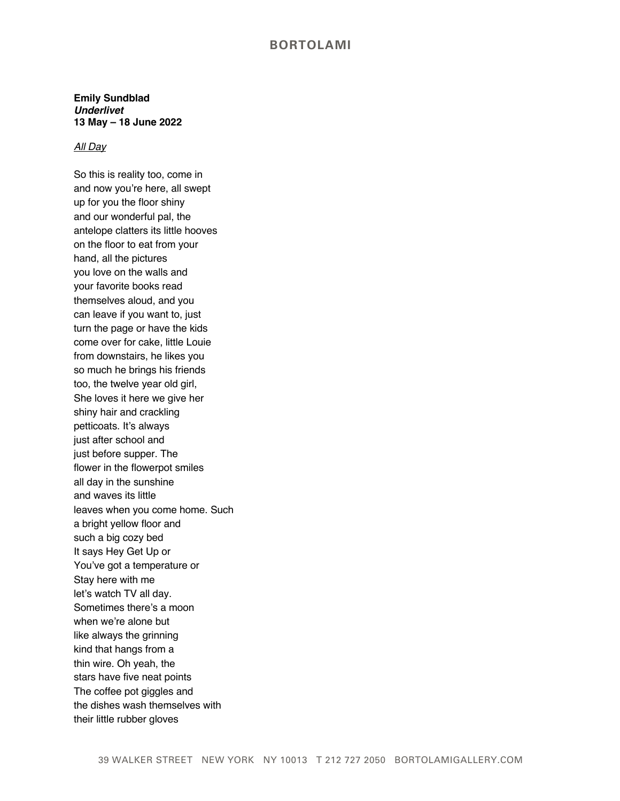## **BORTOLAMI**

**Emily Sundblad** *Underlivet* **13 May – 18 June 2022**

## *All Day*

So this is reality too, come in and now you're here, all swept up for you the floor shiny and our wonderful pal, the antelope clatters its little hooves on the floor to eat from your hand, all the pictures you love on the walls and your favorite books read themselves aloud, and you can leave if you want to, just turn the page or have the kids come over for cake, little Louie from downstairs, he likes you so much he brings his friends too, the twelve year old girl, She loves it here we give her shiny hair and crackling petticoats. It's always just after school and just before supper. The flower in the flowerpot smiles all day in the sunshine and waves its little leaves when you come home. Such a bright yellow floor and such a big cozy bed It says Hey Get Up or You've got a temperature or Stay here with me let's watch TV all day. Sometimes there's a moon when we're alone but like always the grinning kind that hangs from a thin wire. Oh yeah, the stars have five neat points The coffee pot giggles and the dishes wash themselves with their little rubber gloves